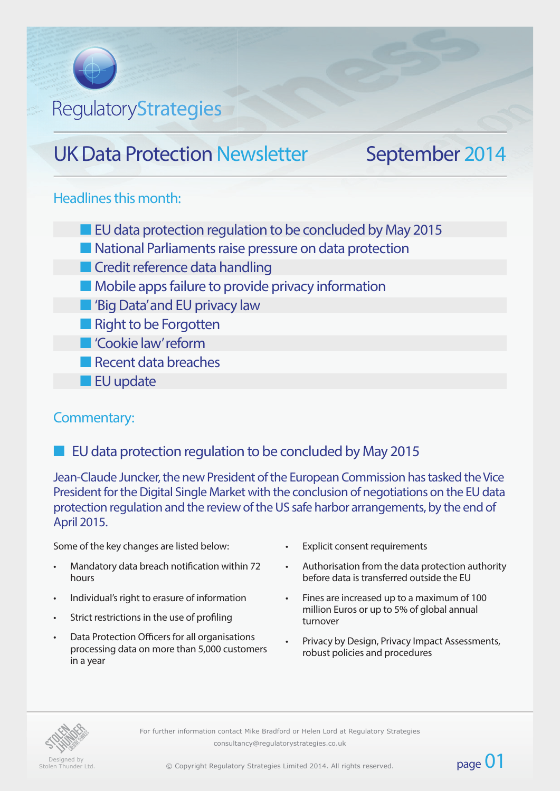# RegulatoryStrategies

# UK Data Protection Newsletter September 2014

#### Headlines this month:

- **n** EU data protection regulation to be concluded by May 2015
- **n** National Parliaments raise pressure on data protection
- $\blacksquare$  Credit reference data handling
- $\blacksquare$  Mobile apps failure to provide privacy information
- 'Big Data' and EU privacy law
- **n** Right to be Forgotten
- 'Cookie law' reform
- **n** Recent data breaches
- **n** EU update

#### Commentary:

n EU data protection regulation to be concluded by May 2015

Jean-Claude Juncker, the new President of the European Commission has tasked the Vice President for the Digital Single Market with the conclusion of negotiations on the EU data protection regulation and the review of the US safe harbor arrangements, by the end of April 2015.

Some of the key changes are listed below:

- Mandatory data breach notification within 72 hours
- Individual's right to erasure of information
- Strict restrictions in the use of profiling
- Data Protection Officers for all organisations processing data on more than 5,000 customers in a year
- Explicit consent requirements
- Authorisation from the data protection authority before data is transferred outside the EU
- Fines are increased up to a maximum of 100 million Euros or up to 5% of global annual turnover
- Privacy by Design, Privacy Impact Assessments, robust policies and procedures

page 01



Designed by<br>Stolen Thunder Ltd.

For further information contact Mike Bradford or Helen Lord at Regulatory Strategies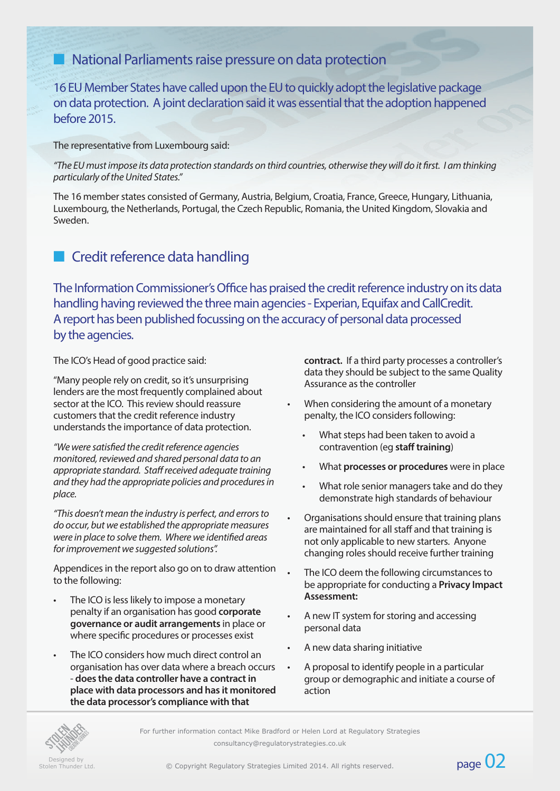# **n** National Parliaments raise pressure on data protection

16 EU Member States have called upon the EU to quickly adopt the legislative package on data protection. A joint declaration said it was essential that the adoption happened before 2015.

The representative from Luxembourg said:

*"The EU must impose its data protection standards on third countries, otherwise they will do it first. I am thinking particularly of the United States."*

The 16 member states consisted of Germany, Austria, Belgium, Croatia, France, Greece, Hungary, Lithuania, Luxembourg, the Netherlands, Portugal, the Czech Republic, Romania, the United Kingdom, Slovakia and Sweden.

# **Credit reference data handling**

The Information Commissioner's Office has praised the credit reference industry on its data handling having reviewed the three main agencies - Experian, Equifax and CallCredit. A report has been published focussing on the accuracy of personal data processed by the agencies.

The ICO's Head of good practice said:

"Many people rely on credit, so it's unsurprising lenders are the most frequently complained about sector at the ICO. This review should reassure customers that the credit reference industry understands the importance of data protection.

*"We were satisfied the credit reference agencies monitored, reviewed and shared personal data to an appropriate standard. Staff received adequate training and they had the appropriate policies and procedures in place.*

*"This doesn't mean the industry is perfect, and errors to do occur, but we established the appropriate measures were in place to solve them. Where we identified areas for improvement we suggested solutions".*

Appendices in the report also go on to draw attention to the following:

- The ICO is less likely to impose a monetary penalty if an organisation has good **corporate governance or audit arrangements** in place or where specific procedures or processes exist
- The ICO considers how much direct control an organisation has over data where a breach occurs - **does the data controller have a contract in place with data processors and has it monitored the data processor's compliance with that**

**contract.** If a third party processes a controller's data they should be subject to the same Quality Assurance as the controller

- When considering the amount of a monetary penalty, the ICO considers following:
	- What steps had been taken to avoid a contravention (eg **staff training**)
	- What **processes or procedures** were in place
	- What role senior managers take and do they demonstrate high standards of behaviour
- Organisations should ensure that training plans are maintained for all staff and that training is not only applicable to new starters. Anyone changing roles should receive further training
- The ICO deem the following circumstances to be appropriate for conducting a **Privacy Impact Assessment:**
- A new IT system for storing and accessing personal data
- A new data sharing initiative
- A proposal to identify people in a particular group or demographic and initiate a course of action



For further information contact Mike Bradford or Helen Lord at Regulatory Strategies consultancy@regulatorystrategies.co.uk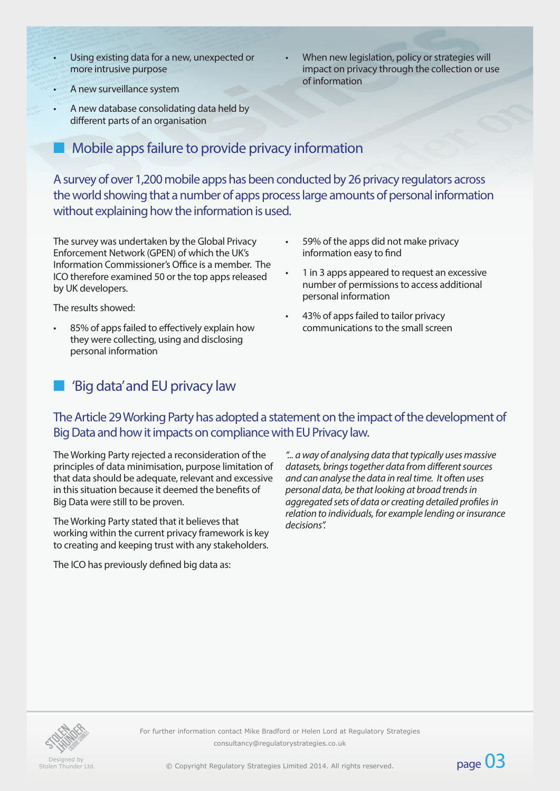- Using existing data for a new, unexpected or more intrusive purpose
- When new legislation, policy or strategies will impact on privacy through the collection or use of information
- A new surveillance system
- A new database consolidating data held by different parts of an organisation
	- Mobile apps failure to provide privacy information

A survey of over 1,200 mobile apps has been conducted by 26 privacy regulators across the world showing that a number of apps process large amounts of personal information without explaining how the information is used.

The survey was undertaken by the Global Privacy Enforcement Network (GPEN) of which the UK's Information Commissioner's Office is a member. The ICO therefore examined 50 or the top apps released by UK developers.

- 59% of the apps did not make privacy information easy to find
- 1 in 3 apps appeared to request an excessive number of permissions to access additional personal information

The results showed:

- 85% of apps failed to effectively explain how they were collecting, using and disclosing personal information
- 43% of apps failed to tailor privacy communications to the small screen

### 'Big data' and EU privacy law

#### The Article 29 Working Party has adopted a statement on the impact of the development of Big Data and how it impacts on compliance with EU Privacy law.

The Working Party rejected a reconsideration of the principles of data minimisation, purpose limitation of that data should be adequate, relevant and excessive in this situation because it deemed the benefits of Big Data were still to be proven.

The Working Party stated that it believes that working within the current privacy framework is key to creating and keeping trust with any stakeholders.

The ICO has previously defined big data as:

*"... a way of analysing data that typically uses massive datasets, brings together data from different sources and can analyse the data in real time. It often uses personal data, be that looking at broad trends in aggregated sets of data or creating detailed profiles in relation to individuals, for example lending or insurance decisions".* 



Designed by<br>Stolen Thunder Ltd

For further information contact Mike Bradford or Helen Lord at Regulatory Strategies consultancy@regulatorystrategies.co.uk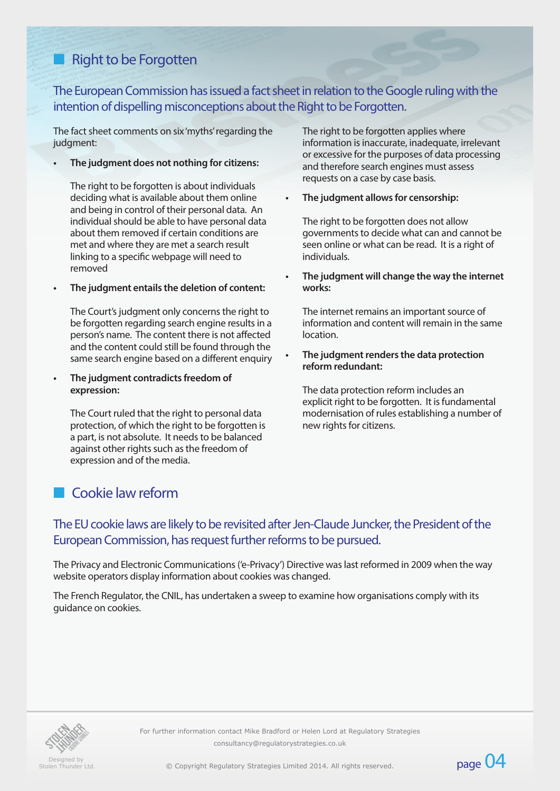## **n** Right to be Forgotten

The European Commission has issued a fact sheet in relation to the Google ruling with the intention of dispelling misconceptions about the Right to be Forgotten.

The fact sheet comments on six 'myths' regarding the judgment:

**• The judgment does not nothing for citizens:**

The right to be forgotten is about individuals deciding what is available about them online and being in control of their personal data. An individual should be able to have personal data about them removed if certain conditions are met and where they are met a search result linking to a specific webpage will need to removed

#### **• The judgment entails the deletion of content:**

The Court's judgment only concerns the right to be forgotten regarding search engine results in a person's name. The content there is not affected and the content could still be found through the same search engine based on a different enquiry

**• The judgment contradicts freedom of expression:**

The Court ruled that the right to personal data protection, of which the right to be forgotten is a part, is not absolute. It needs to be balanced against other rights such as the freedom of expression and of the media.

The right to be forgotten applies where information is inaccurate, inadequate, irrelevant or excessive for the purposes of data processing and therefore search engines must assess requests on a case by case basis.

**• The judgment allows for censorship:**

The right to be forgotten does not allow governments to decide what can and cannot be seen online or what can be read. It is a right of individuals.

**• The judgment will change the way the internet works:**

The internet remains an important source of information and content will remain in the same location.

**• The judgment renders the data protection reform redundant:**

The data protection reform includes an explicit right to be forgotten. It is fundamental modernisation of rules establishing a number of new rights for citizens.

## Cookie law reform

#### The EU cookie laws are likely to be revisited after Jen-Claude Juncker, the President of the European Commission, has request further reforms to be pursued.

The Privacy and Electronic Communications ('e-Privacy') Directive was last reformed in 2009 when the way website operators display information about cookies was changed.

The French Regulator, the CNIL, has undertaken a sweep to examine how organisations comply with its guidance on cookies.



For further information contact Mike Bradford or Helen Lord at Regulatory Strategies consultancy@regulatorystrategies.co.uk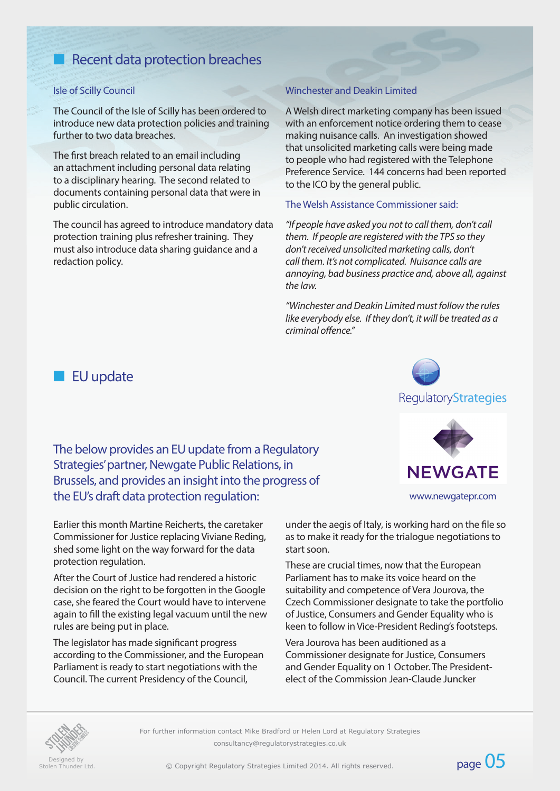## **n** Recent data protection breaches

#### Isle of Scilly Council

The Council of the Isle of Scilly has been ordered to introduce new data protection policies and training further to two data breaches.

The first breach related to an email including an attachment including personal data relating to a disciplinary hearing. The second related to documents containing personal data that were in public circulation.

The council has agreed to introduce mandatory data protection training plus refresher training. They must also introduce data sharing guidance and a redaction policy.

#### Winchester and Deakin Limited

A Welsh direct marketing company has been issued with an enforcement notice ordering them to cease making nuisance calls. An investigation showed that unsolicited marketing calls were being made to people who had registered with the Telephone Preference Service. 144 concerns had been reported to the ICO by the general public.

The Welsh Assistance Commissioner said:

*"If people have asked you not to call them, don't call them. If people are registered with the TPS so they don't received unsolicited marketing calls, don't call them. It's not complicated. Nuisance calls are annoying, bad business practice and, above all, against the law.*

*"Winchester and Deakin Limited must follow the rules like everybody else. If they don't, it will be treated as a criminal offence."* 



**NEWGATE** 

The below provides an EU update from a Regulatory Strategies' partner, Newgate Public Relations, in Brussels, and provides an insight into the progress of the EU's draft data protection regulation: www.newgatepr.com

Earlier this month Martine Reicherts, the caretaker Commissioner for Justice replacing Viviane Reding, shed some light on the way forward for the data protection regulation.

After the Court of Justice had rendered a historic decision on the right to be forgotten in the Google case, she feared the Court would have to intervene again to fill the existing legal vacuum until the new rules are being put in place.

The legislator has made significant progress according to the Commissioner, and the European Parliament is ready to start negotiations with the Council. The current Presidency of the Council,

under the aegis of Italy, is working hard on the file so as to make it ready for the trialogue negotiations to start soon.

These are crucial times, now that the European Parliament has to make its voice heard on the suitability and competence of Vera Jourova, the Czech Commissioner designate to take the portfolio of Justice, Consumers and Gender Equality who is keen to follow in Vice-President Reding's footsteps.

Vera Jourova has been auditioned as a Commissioner designate for Justice, Consumers and Gender Equality on 1 October. The Presidentelect of the Commission Jean-Claude Juncker



Designed by<br>Stolen Thunder Ltd

For further information contact Mike Bradford or Helen Lord at Regulatory Strategies consultancy@regulatorystrategies.co.uk



 $\mathcal{L}_{\text{Designed by}}$ <br>Stolen Thunder Ltd.  $\circ$  Copyright Regulatory Strategies Limited 2014. All rights reserved.  $\bullet$  page  $\mathsf{O5}$